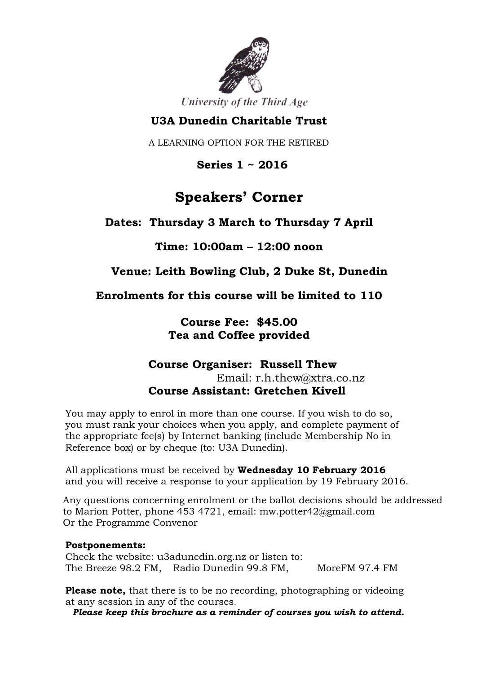

University of the Third Age

## **U3A Dunedin Charitable Trust**

A LEARNING OPTION FOR THE RETIRED

 **Series 1 ~ 2016**

# **Speakers' Corner**

**Dates: Thursday 3 March to Thursday 7 April**

### **Time: 10:00am – 12:00 noon**

### **Venue: Leith Bowling Club, 2 Duke St, Dunedin**

**Enrolments for this course will be limited to 110**

**Course Fee: \$45.00 Tea and Coffee provided**

### **Course Organiser: Russell Thew** Email: [r.h.thew@xtra.co.nz](mailto:r.h.thew@xtra.co.nz) **Course Assistant: Gretchen Kivell**

You may apply to enrol in more than one course. If you wish to do so, you must rank your choices when you apply, and complete payment of the appropriate fee(s) by Internet banking (include Membership No in Reference box) or by cheque (to: U3A Dunedin).

All applications must be received by **Wednesday 10 February 2016** and you will receive a response to your application by 19 February 2016.

Any questions concerning enrolment or the ballot decisions should be addressed to Marion Potter, phone 453 4721, email: mw.potter42@gmail.com Or the Programme Convenor

#### **Postponements:**

Check the website: u3adunedin.org.nz or listen to: The Breeze 98.2 FM, Radio Dunedin 99.8 FM, MoreFM 97.4 FM

**Please note,** that there is to be no recording, photographing or videoing at any session in any of the courses.

*Please keep this brochure as a reminder of courses you wish to attend.*